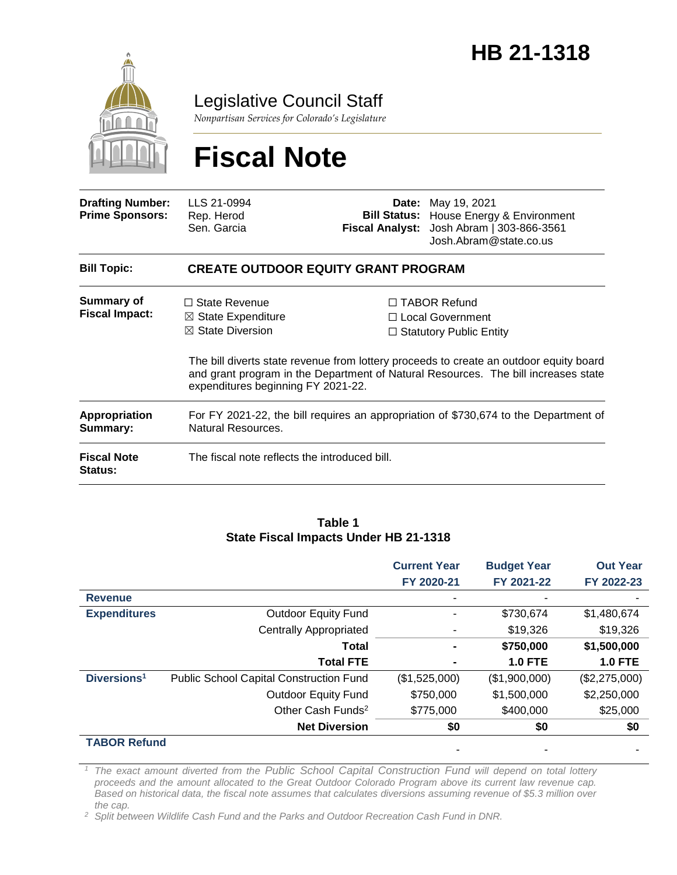

# Legislative Council Staff

*Nonpartisan Services for Colorado's Legislature*

# **Fiscal Note**

| <b>Drafting Number:</b><br><b>Prime Sponsors:</b> | LLS 21-0994<br>Rep. Herod<br>Sen. Garcia                                                                                   | Date: | May 19, 2021<br><b>Bill Status:</b> House Energy & Environment<br>Fiscal Analyst: Josh Abram   303-866-3561<br>Josh.Abram@state.co.us                                                                                                                            |
|---------------------------------------------------|----------------------------------------------------------------------------------------------------------------------------|-------|------------------------------------------------------------------------------------------------------------------------------------------------------------------------------------------------------------------------------------------------------------------|
| <b>Bill Topic:</b>                                | <b>CREATE OUTDOOR EQUITY GRANT PROGRAM</b>                                                                                 |       |                                                                                                                                                                                                                                                                  |
| <b>Summary of</b><br><b>Fiscal Impact:</b>        | $\Box$ State Revenue<br>$\boxtimes$ State Expenditure<br>$\boxtimes$ State Diversion<br>expenditures beginning FY 2021-22. |       | $\Box$ TABOR Refund<br>$\Box$ Local Government<br>$\Box$ Statutory Public Entity<br>The bill diverts state revenue from lottery proceeds to create an outdoor equity board<br>and grant program in the Department of Natural Resources. The bill increases state |
| <b>Appropriation</b><br>Summary:                  | For FY 2021-22, the bill requires an appropriation of \$730,674 to the Department of<br>Natural Resources.                 |       |                                                                                                                                                                                                                                                                  |
| <b>Fiscal Note</b><br><b>Status:</b>              | The fiscal note reflects the introduced bill.                                                                              |       |                                                                                                                                                                                                                                                                  |

#### **Table 1 State Fiscal Impacts Under HB 21-1318**

|                         |                                                | <b>Current Year</b><br>FY 2020-21 | <b>Budget Year</b><br>FY 2021-22 | <b>Out Year</b><br>FY 2022-23 |
|-------------------------|------------------------------------------------|-----------------------------------|----------------------------------|-------------------------------|
| <b>Revenue</b>          |                                                |                                   |                                  |                               |
| <b>Expenditures</b>     | <b>Outdoor Equity Fund</b>                     |                                   | \$730,674                        | \$1,480,674                   |
|                         | <b>Centrally Appropriated</b>                  |                                   | \$19,326                         | \$19,326                      |
|                         | Total                                          |                                   | \$750,000                        | \$1,500,000                   |
|                         | <b>Total FTE</b>                               |                                   | <b>1.0 FTE</b>                   | $1.0$ FTE                     |
| Diversions <sup>1</sup> | <b>Public School Capital Construction Fund</b> | (\$1,525,000)                     | (\$1,900,000)                    | (\$2,275,000)                 |
|                         | <b>Outdoor Equity Fund</b>                     | \$750,000                         | \$1,500,000                      | \$2,250,000                   |
|                         | Other Cash Funds <sup>2</sup>                  | \$775,000                         | \$400,000                        | \$25,000                      |
|                         | <b>Net Diversion</b>                           | \$0                               | \$0                              | \$0                           |
| <b>TABOR Refund</b>     |                                                |                                   |                                  |                               |

*<sup>1</sup> The exact amount diverted from the Public School Capital Construction Fund will depend on total lottery proceeds and the amount allocated to the Great Outdoor Colorado Program above its current law revenue cap. Based on historical data, the fiscal note assumes that calculates diversions assuming revenue of \$5.3 million over the cap.*

*<sup>2</sup> Split between Wildlife Cash Fund and the Parks and Outdoor Recreation Cash Fund in DNR.*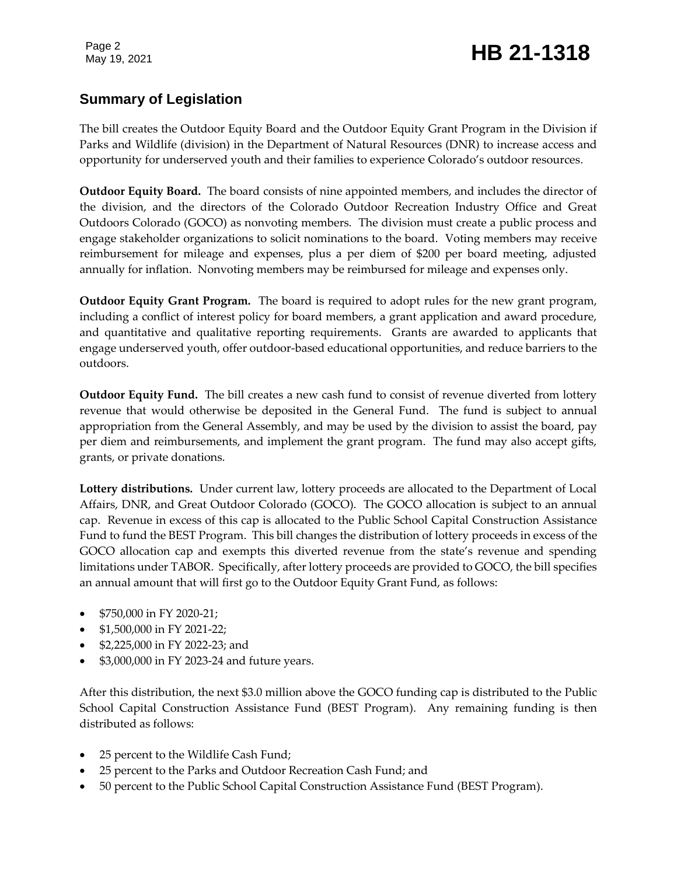# May 19, 2021 **HB 21-1318**

## **Summary of Legislation**

The bill creates the Outdoor Equity Board and the Outdoor Equity Grant Program in the Division if Parks and Wildlife (division) in the Department of Natural Resources (DNR) to increase access and opportunity for underserved youth and their families to experience Colorado's outdoor resources.

**Outdoor Equity Board.** The board consists of nine appointed members, and includes the director of the division, and the directors of the Colorado Outdoor Recreation Industry Office and Great Outdoors Colorado (GOCO) as nonvoting members. The division must create a public process and engage stakeholder organizations to solicit nominations to the board. Voting members may receive reimbursement for mileage and expenses, plus a per diem of \$200 per board meeting, adjusted annually for inflation. Nonvoting members may be reimbursed for mileage and expenses only.

**Outdoor Equity Grant Program.** The board is required to adopt rules for the new grant program, including a conflict of interest policy for board members, a grant application and award procedure, and quantitative and qualitative reporting requirements. Grants are awarded to applicants that engage underserved youth, offer outdoor-based educational opportunities, and reduce barriers to the outdoors.

**Outdoor Equity Fund.** The bill creates a new cash fund to consist of revenue diverted from lottery revenue that would otherwise be deposited in the General Fund. The fund is subject to annual appropriation from the General Assembly, and may be used by the division to assist the board, pay per diem and reimbursements, and implement the grant program. The fund may also accept gifts, grants, or private donations.

**Lottery distributions.** Under current law, lottery proceeds are allocated to the Department of Local Affairs, DNR, and Great Outdoor Colorado (GOCO). The GOCO allocation is subject to an annual cap. Revenue in excess of this cap is allocated to the Public School Capital Construction Assistance Fund to fund the BEST Program. This bill changes the distribution of lottery proceeds in excess of the GOCO allocation cap and exempts this diverted revenue from the state's revenue and spending limitations under TABOR. Specifically, after lottery proceeds are provided to GOCO, the bill specifies an annual amount that will first go to the Outdoor Equity Grant Fund, as follows:

- **•** \$750,000 in FY 2020-21;
- \$1,500,000 in FY 2021-22;
- \$2,225,000 in FY 2022-23; and
- \$3,000,000 in FY 2023-24 and future years.

After this distribution, the next \$3.0 million above the GOCO funding cap is distributed to the Public School Capital Construction Assistance Fund (BEST Program). Any remaining funding is then distributed as follows:

- 25 percent to the Wildlife Cash Fund;
- 25 percent to the Parks and Outdoor Recreation Cash Fund; and
- 50 percent to the Public School Capital Construction Assistance Fund (BEST Program).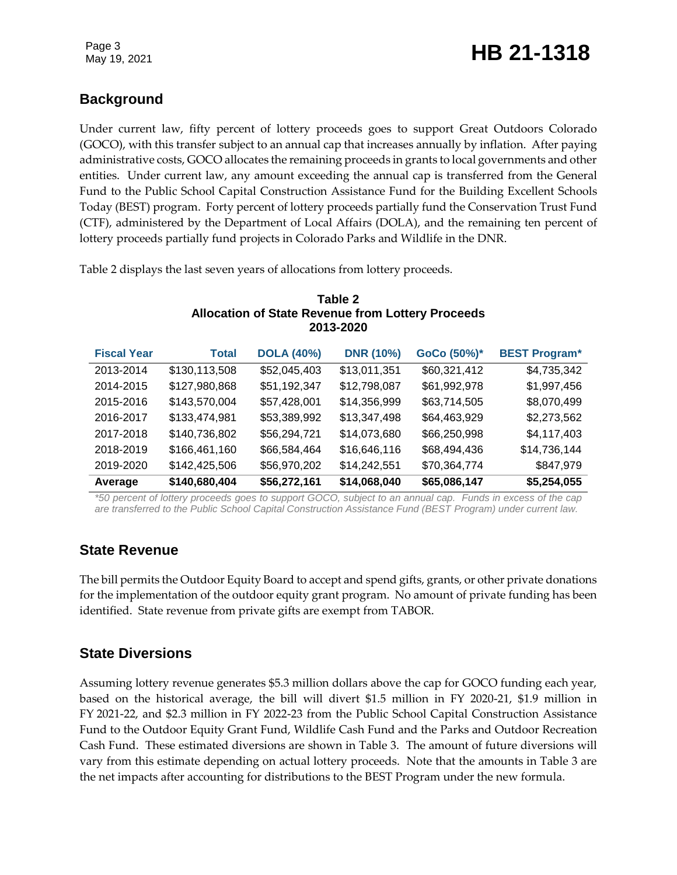## **Background**

Under current law, fifty percent of lottery proceeds goes to support Great Outdoors Colorado (GOCO), with this transfer subject to an annual cap that increases annually by inflation. After paying administrative costs, GOCO allocates the remaining proceeds in grants to local governments and other entities. Under current law, any amount exceeding the annual cap is transferred from the General Fund to the Public School Capital Construction Assistance Fund for the Building Excellent Schools Today (BEST) program. Forty percent of lottery proceeds partially fund the Conservation Trust Fund (CTF), administered by the Department of Local Affairs (DOLA), and the remaining ten percent of lottery proceeds partially fund projects in Colorado Parks and Wildlife in the DNR.

Table 2 displays the last seven years of allocations from lottery proceeds.

#### **Table 2 Allocation of State Revenue from Lottery Proceeds 2013-2020**

| <b>Fiscal Year</b> | <b>Total</b>  | <b>DOLA (40%)</b> | <b>DNR (10%)</b> | GoCo (50%)*  | <b>BEST Program*</b> |
|--------------------|---------------|-------------------|------------------|--------------|----------------------|
| 2013-2014          | \$130,113,508 | \$52,045,403      | \$13,011,351     | \$60,321,412 | \$4,735,342          |
| 2014-2015          | \$127,980,868 | \$51,192,347      | \$12,798,087     | \$61,992,978 | \$1,997,456          |
| 2015-2016          | \$143,570,004 | \$57,428,001      | \$14,356,999     | \$63,714,505 | \$8,070,499          |
| 2016-2017          | \$133,474,981 | \$53,389,992      | \$13,347,498     | \$64,463,929 | \$2,273,562          |
| 2017-2018          | \$140,736,802 | \$56,294,721      | \$14,073,680     | \$66,250,998 | \$4,117,403          |
| 2018-2019          | \$166,461,160 | \$66,584,464      | \$16,646,116     | \$68,494,436 | \$14,736,144         |
| 2019-2020          | \$142,425,506 | \$56,970,202      | \$14,242,551     | \$70,364,774 | \$847,979            |
| Average            | \$140,680,404 | \$56,272,161      | \$14,068,040     | \$65,086,147 | \$5,254,055          |

*\*50 percent of lottery proceeds goes to support GOCO, subject to an annual cap. Funds in excess of the cap are transferred to the Public School Capital Construction Assistance Fund (BEST Program) under current law.*

## **State Revenue**

The bill permits the Outdoor Equity Board to accept and spend gifts, grants, or other private donations for the implementation of the outdoor equity grant program. No amount of private funding has been identified. State revenue from private gifts are exempt from TABOR.

## **State Diversions**

Assuming lottery revenue generates \$5.3 million dollars above the cap for GOCO funding each year, based on the historical average, the bill will divert \$1.5 million in FY 2020-21, \$1.9 million in FY 2021-22, and \$2.3 million in FY 2022-23 from the Public School Capital Construction Assistance Fund to the Outdoor Equity Grant Fund, Wildlife Cash Fund and the Parks and Outdoor Recreation Cash Fund. These estimated diversions are shown in Table 3. The amount of future diversions will vary from this estimate depending on actual lottery proceeds. Note that the amounts in Table 3 are the net impacts after accounting for distributions to the BEST Program under the new formula.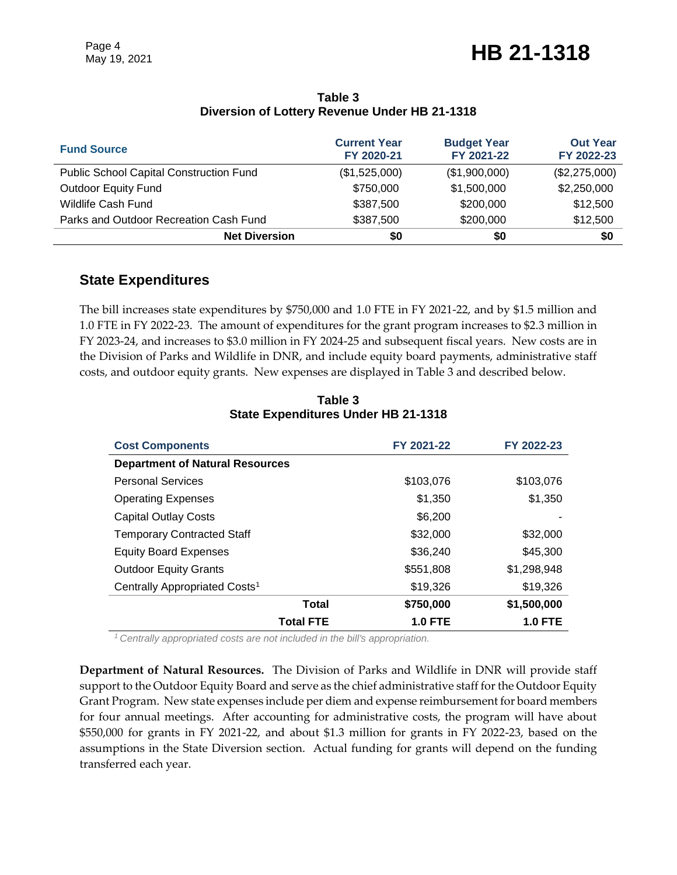# Page 4<br>May 19, 2021 **HB 21-1318**

| <b>Fund Source</b>                             | <b>Current Year</b><br>FY 2020-21 | <b>Budget Year</b><br>FY 2021-22 | <b>Out Year</b><br>FY 2022-23 |
|------------------------------------------------|-----------------------------------|----------------------------------|-------------------------------|
| <b>Public School Capital Construction Fund</b> | (\$1,525,000)                     | (\$1,900,000)                    | (\$2,275,000)                 |
| <b>Outdoor Equity Fund</b>                     | \$750,000                         | \$1,500,000                      | \$2,250,000                   |
| <b>Wildlife Cash Fund</b>                      | \$387,500                         | \$200,000                        | \$12,500                      |
| Parks and Outdoor Recreation Cash Fund         | \$387,500                         | \$200,000                        | \$12,500                      |
| <b>Net Diversion</b>                           | \$0                               | \$0                              | \$0                           |

#### **Table 3 Diversion of Lottery Revenue Under HB 21-1318**

#### **State Expenditures**

The bill increases state expenditures by \$750,000 and 1.0 FTE in FY 2021-22, and by \$1.5 million and 1.0 FTE in FY 2022-23. The amount of expenditures for the grant program increases to \$2.3 million in FY 2023-24, and increases to \$3.0 million in FY 2024-25 and subsequent fiscal years. New costs are in the Division of Parks and Wildlife in DNR, and include equity board payments, administrative staff costs, and outdoor equity grants. New expenses are displayed in Table 3 and described below.

| <b>Cost Components</b>                    | FY 2021-22     | FY 2022-23     |
|-------------------------------------------|----------------|----------------|
| <b>Department of Natural Resources</b>    |                |                |
| <b>Personal Services</b>                  | \$103,076      | \$103,076      |
| <b>Operating Expenses</b>                 | \$1,350        | \$1,350        |
| <b>Capital Outlay Costs</b>               | \$6,200        |                |
| <b>Temporary Contracted Staff</b>         | \$32,000       | \$32,000       |
| <b>Equity Board Expenses</b>              | \$36,240       | \$45,300       |
| <b>Outdoor Equity Grants</b>              | \$551,808      | \$1,298,948    |
| Centrally Appropriated Costs <sup>1</sup> | \$19,326       | \$19,326       |
| Total                                     | \$750,000      | \$1,500,000    |
| <b>Total FTE</b>                          | <b>1.0 FTE</b> | <b>1.0 FTE</b> |

**Table 3 State Expenditures Under HB 21-1318**

*<sup>1</sup>Centrally appropriated costs are not included in the bill's appropriation.*

**Department of Natural Resources.** The Division of Parks and Wildlife in DNR will provide staff support to the Outdoor Equity Board and serve as the chief administrative staff for the Outdoor Equity Grant Program. New state expenses include per diem and expense reimbursement for board members for four annual meetings. After accounting for administrative costs, the program will have about \$550,000 for grants in FY 2021-22, and about \$1.3 million for grants in FY 2022-23, based on the assumptions in the State Diversion section. Actual funding for grants will depend on the funding transferred each year.